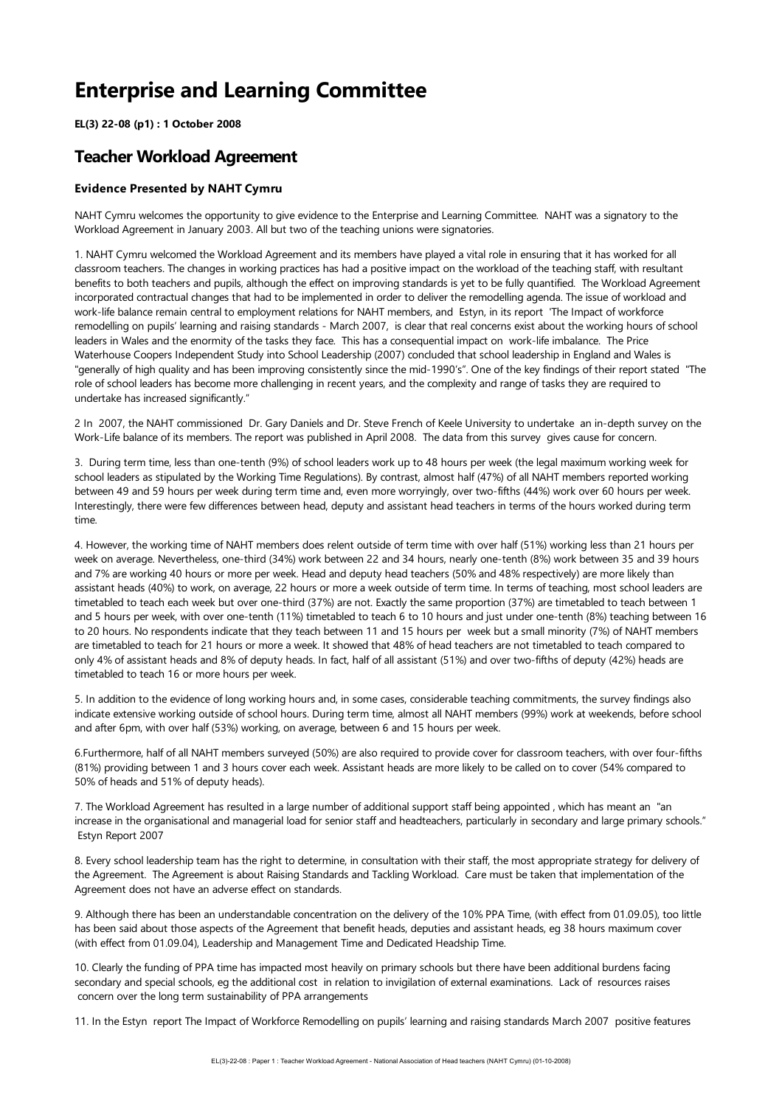# **Enterprise and Learning Committee**

**EL(3) 22-08 (p1) : 1 October 2008**

# **Teacher Workload Agreement**

## **Evidence Presented by NAHT Cymru**

NAHT Cymru welcomes the opportunity to give evidence to the Enterprise and Learning Committee. NAHT was a signatory to the Workload Agreement in January 2003. All but two of the teaching unions were signatories.

1. NAHT Cymru welcomed the Workload Agreement and its members have played a vital rolein ensuring that it has worked for all classroom teachers. The changes in working practices has had a positive impact on the workload of the teaching staff, with resultant benefits to both teachers and pupils, although theeffect on improving standards is yet to befully quantified. The Workload Agreement incorporated contractual changes that had to be implemented in order to deliver the remodelling agenda. The issue of workload and work-life balance remain central to employment relations for NAHT members, and Estyn, in its report 'The Impact of workforce remodelling on pupils' learning and raising standards - March 2007, is clear that real concerns exist about the working hours of school leaders in Wales and the enormity of the tasks they face. This has a consequential impact on work-life imbalance. The Price Waterhouse Coopers Independent Study into School Leadership (2007) concluded that school leadership in England and Wales is "generally of high quality and has been improving consistently since the mid-1990's". One of the key findings of their report stated "The role of school leaders has become more challenging in recent years, and the complexity and range of tasks they are required to undertake has increased significantly."

2 In 2007, the NAHT commissioned Dr. Gary Daniels and Dr. Steve French of Keele University to undertake an in-depth survey on the Work-Life balance of its members. The report was published in April 2008. The data from this survey gives cause for concern.

3. During term time, less than one-tenth (9%) of school leaders work up to 48 hours per week (thelegal maximum working week for school leaders as stipulated by the Working Time Regulations). By contrast, almost half (47%) of all NAHT members reported working between 49 and 59 hours per week during term time and, even more worryingly, over two-fifths (44%) work over 60 hours per week. Interestingly, there werefew differences between head, deputy and assistant head teachers in terms of the hours worked during term time.

4. However, the working time of NAHT members does relent outside of term time with over half (51%) working less than 21 hours per week on average. Nevertheless, one-third (34%) work between 22 and 34 hours, nearly one-tenth (8%) work between 35 and 39 hours and 7% are working 40 hours or more per week. Head and deputy head teachers (50% and 48% respectively) are more likely than assistant heads (40%) to work, on average, 22 hours or more a week outside of term time. In terms of teaching, most school leaders are timetabled to teach each week but over one-third (37%) are not. Exactly the same proportion (37%) are timetabled to teach between 1 and 5 hours per week, with over one-tenth (11%) timetabled to teach 6 to 10 hours and just under one-tenth (8%) teaching between 16 to 20 hours. No respondents indicate that they teach between 11 and 15 hours per week but a small minority (7%) of NAHT members are timetabled to teach for 21 hours or more a week. It showed that 48% of head teachers are not timetabled to teach compared to only 4% of assistant heads and 8% of deputy heads. In fact, half of all assistant (51%) and over two-fifths of deputy (42%) heads are timetabled to teach 16 or more hours per week.

5. In addition to the evidence of long working hours and, in some cases, considerable teaching commitments, the survey findings also indicate extensive working outside of school hours. During term time, almost all NAHT members (99%) work at weekends, before school and after 6pm, with over half (53%) working, on average, between 6 and 15 hours per week.

6.Furthermore, half of all NAHT members surveyed (50%) are also required to provide cover for classroom teachers, with over four-fifths (81%) providing between 1 and 3 hours cover each week. Assistant heads are more likely to be called on to cover (54% compared to 50% of heads and 51% of deputy heads).

7. The Workload Agreement has resulted in a large number of additional support staff being appointed, which has meant an "an increase in the organisational and managerial load for senior staff and headteachers, particularly in secondary and large primary schools." Estyn Report 2007

8. Every school leadership team has the right to determine, in consultation with their staff, the most appropriate strategy for delivery of the Agreement. The Agreement is about Raising Standards and Tackling Workload. Care must be taken that implementation of the Agreement does not have an adverse effect on standards.

9. Although there has been an understandable concentration on the delivery of the 10% PPA Time, (with effect from 01.09.05), too little has been said about those aspects of the Agreement that benefit heads, deputies and assistant heads, eg 38 hours maximum cover (with effect from 01.09.04), Leadership and Management Timeand Dedicated Headship Time.

10. Clearly the funding of PPA time has impacted most heavily on primary schools but there have been additional burdens facing secondary and special schools, eg the additional cost in relation to invigilation of external examinations. Lack of resources raises concern over the long term sustainability of PPA arrangements

11. In the Estyn report The Impact of Workforce Remodelling on pupils' learning and raising standards March 2007 positive features